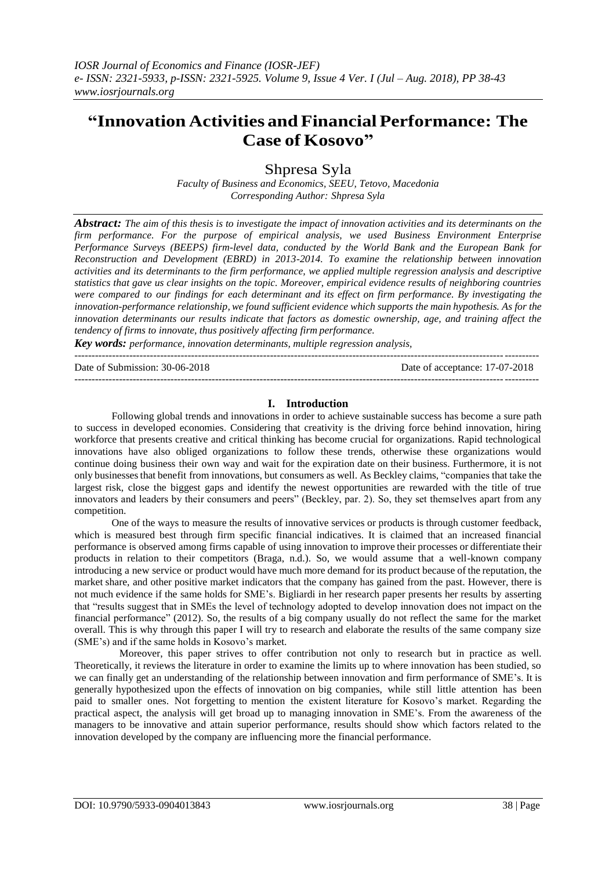# **"Innovation Activities andFinancialPerformance: The Case of Kosovo"**

Shpresa Syla

*Faculty of Business and Economics, SEEU, Tetovo, Macedonia Corresponding Author: Shpresa Syla*

*Abstract: The aim of this thesis is to investigate the impact of innovation activities and its determinants on the firm performance. For the purpose of empirical analysis, we used Business Environment Enterprise Performance Surveys (BEEPS) firm-level data, conducted by the World Bank and the European Bank for Reconstruction and Development (EBRD) in 2013-2014. To examine the relationship between innovation activities and its determinants to the firm performance, we applied multiple regression analysis and descriptive statistics that gave us clear insights on the topic. Moreover, empirical evidence results of neighboring countries were compared to our findings for each determinant and its effect on firm performance. By investigating the innovation-performance relationship, we found sufficient evidence which supports the main hypothesis. As for the innovation determinants our results indicate that factors as domestic ownership, age, and training affect the tendency of firms to innovate, thus positively affecting firm performance.*

*Key words: performance, innovation determinants, multiple regression analysis,* ---------------------------------------------------------------------------------------------------------------------------------------

Date of Submission: 30-06-2018 Date of acceptance: 17-07-2018

---------------------------------------------------------------------------------------------------------------------------------------

#### **I. Introduction**

Following global trends and innovations in order to achieve sustainable success has become a sure path to success in developed economies. Considering that creativity is the driving force behind innovation, hiring workforce that presents creative and critical thinking has become crucial for organizations. Rapid technological innovations have also obliged organizations to follow these trends, otherwise these organizations would continue doing business their own way and wait for the expiration date on their business. Furthermore, it is not only businessesthat benefit from innovations, but consumers as well. As Beckley claims, "companies that take the largest risk, close the biggest gaps and identify the newest opportunities are rewarded with the title of true innovators and leaders by their consumers and peers" (Beckley, par. 2). So, they set themselves apart from any competition.

One of the ways to measure the results of innovative services or products is through customer feedback, which is measured best through firm specific financial indicatives. It is claimed that an increased financial performance is observed among firms capable of using innovation to improve their processes or differentiate their products in relation to their competitors (Braga, n.d.). So, we would assume that a well-known company introducing a new service or product would have much more demand for its product because of the reputation, the market share, and other positive market indicators that the company has gained from the past. However, there is not much evidence if the same holds for SME"s. Bigliardi in her research paper presents her results by asserting that "results suggest that in SMEs the level of technology adopted to develop innovation does not impact on the financial performance" (2012). So, the results of a big company usually do not reflect the same for the market overall. This is why through this paper I will try to research and elaborate the results of the same company size (SME"s) and if the same holds in Kosovo"s market.

 Moreover, this paper strives to offer contribution not only to research but in practice as well. Theoretically, it reviews the literature in order to examine the limits up to where innovation has been studied, so we can finally get an understanding of the relationship between innovation and firm performance of SME"s. It is generally hypothesized upon the effects of innovation on big companies, while still little attention has been paid to smaller ones. Not forgetting to mention the existent literature for Kosovo"s market. Regarding the practical aspect, the analysis will get broad up to managing innovation in SME"s. From the awareness of the managers to be innovative and attain superior performance, results should show which factors related to the innovation developed by the company are influencing more the financial performance.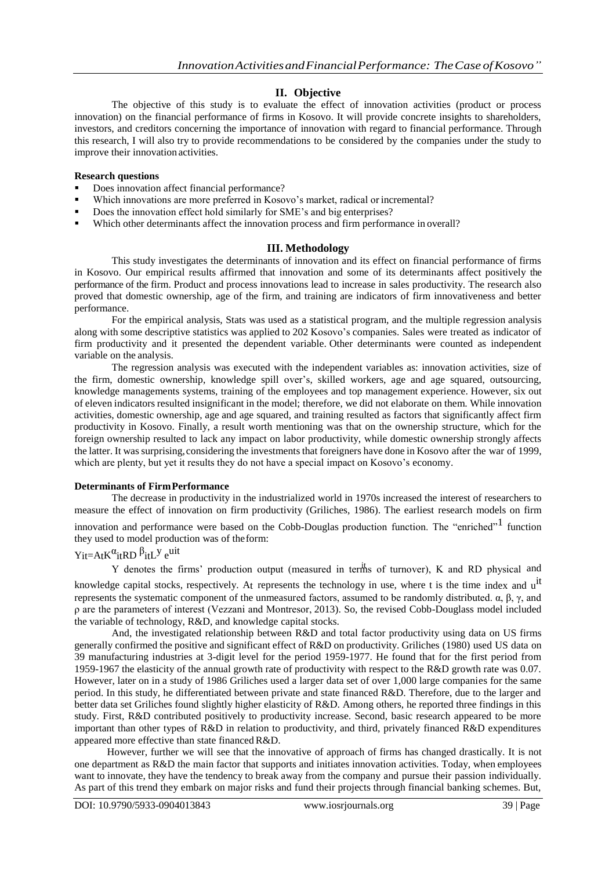### **II. Objective**

The objective of this study is to evaluate the effect of innovation activities (product or process innovation) on the financial performance of firms in Kosovo. It will provide concrete insights to shareholders, investors, and creditors concerning the importance of innovation with regard to financial performance. Through this research, I will also try to provide recommendations to be considered by the companies under the study to improve their innovation activities.

#### **Research questions**

- Does innovation affect financial performance?
- Which innovations are more preferred in Kosovo's market, radical or incremental?
- Does the innovation effect hold similarly for SME's and big enterprises?
- Which other determinants affect the innovation process and firm performance in overall?

#### **III. Methodology**

This study investigates the determinants of innovation and its effect on financial performance of firms in Kosovo. Our empirical results affirmed that innovation and some of its determinants affect positively the performance of the firm. Product and process innovations lead to increase in sales productivity. The research also proved that domestic ownership, age of the firm, and training are indicators of firm innovativeness and better performance.

For the empirical analysis, Stats was used as a statistical program, and the multiple regression analysis along with some descriptive statistics was applied to 202 Kosovo"s companies. Sales were treated as indicator of firm productivity and it presented the dependent variable. Other determinants were counted as independent variable on the analysis.

The regression analysis was executed with the independent variables as: innovation activities, size of the firm, domestic ownership, knowledge spill over"s, skilled workers, age and age squared, outsourcing, knowledge managements systems, training of the employees and top management experience. However, six out of eleven indicators resulted insignificant in the model; therefore, we did not elaborate on them. While innovation activities, domestic ownership, age and age squared, and training resulted as factors that significantly affect firm productivity in Kosovo. Finally, a result worth mentioning was that on the ownership structure, which for the foreign ownership resulted to lack any impact on labor productivity, while domestic ownership strongly affects the latter. It wassurprising, considering the investments that foreigners have done in Kosovo after the war of 1999, which are plenty, but yet it results they do not have a special impact on Kosovo's economy.

#### **Determinants of FirmPerformance**

The decrease in productivity in the industrialized world in 1970s increased the interest of researchers to measure the effect of innovation on firm productivity (Griliches, 1986). The earliest research models on firm innovation and performance were based on the Cobb-Douglas production function. The "enriched"<sup>1</sup> function they used to model production was of theform:

## Y<sub>it</sub>=A<sub>t</sub>K<sup>α</sup><sub>it</sub>RD  $β$ <sub>it</sub>L<sup>y</sup> e<sup>uit</sup>

Y denotes the firms' production output (measured in terms of turnover), K and RD physical and knowledge capital stocks, respectively. At represents the technology in use, where t is the time index and u<sup>it</sup> represents the systematic component of the unmeasured factors, assumed to be randomly distributed. α, β, γ, and ρ are the parameters of interest (Vezzani and Montresor, 2013). So, the revised Cobb-Douglass model included the variable of technology, R&D, and knowledge capital stocks.

And, the investigated relationship between R&D and total factor productivity using data on US firms generally confirmed the positive and significant effect of R&D on productivity. Griliches (1980) used US data on 39 manufacturing industries at 3-digit level for the period 1959-1977. He found that for the first period from 1959-1967 the elasticity of the annual growth rate of productivity with respect to the R&D growth rate was 0.07. However, later on in a study of 1986 Griliches used a larger data set of over 1,000 large companies for the same period. In this study, he differentiated between private and state financed R&D. Therefore, due to the larger and better data set Griliches found slightly higher elasticity of R&D. Among others, he reported three findings in this study. First, R&D contributed positively to productivity increase. Second, basic research appeared to be more important than other types of R&D in relation to productivity, and third, privately financed R&D expenditures appeared more effective than state financedR&D.

However, further we will see that the innovative of approach of firms has changed drastically. It is not one department as R&D the main factor that supports and initiates innovation activities. Today, when employees want to innovate, they have the tendency to break away from the company and pursue their passion individually. As part of this trend they embark on major risks and fund their projects through financial banking schemes. But,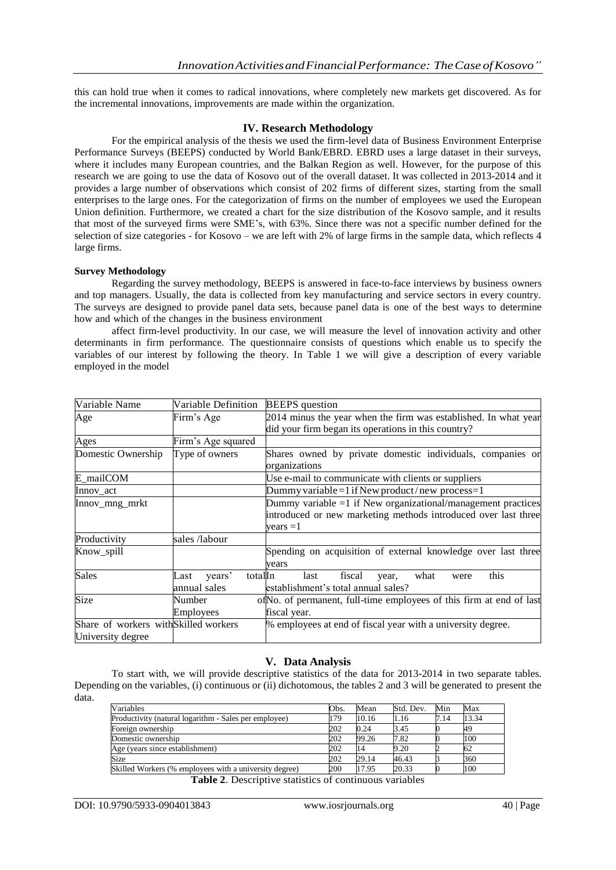this can hold true when it comes to radical innovations, where completely new markets get discovered. As for the incremental innovations, improvements are made within the organization.

#### **IV. Research Methodology**

For the empirical analysis of the thesis we used the firm-level data of Business Environment Enterprise Performance Surveys (BEEPS) conducted by World Bank/EBRD. EBRD uses a large dataset in their surveys, where it includes many European countries, and the Balkan Region as well. However, for the purpose of this research we are going to use the data of Kosovo out of the overall dataset. It was collected in 2013-2014 and it provides a large number of observations which consist of 202 firms of different sizes, starting from the small enterprises to the large ones. For the categorization of firms on the number of employees we used the European Union definition. Furthermore, we created a chart for the size distribution of the Kosovo sample, and it results that most of the surveyed firms were SME"s, with 63%. Since there was not a specific number defined for the selection of size categories - for Kosovo – we are left with 2% of large firms in the sample data, which reflects 4 large firms.

#### **Survey Methodology**

Regarding the survey methodology, BEEPS is answered in face-to-face interviews by business owners and top managers. Usually, the data is collected from key manufacturing and service sectors in every country. The surveys are designed to provide panel data sets, because panel data is one of the best ways to determine how and which of the changes in the business environment

affect firm-level productivity. In our case, we will measure the level of innovation activity and other determinants in firm performance. The questionnaire consists of questions which enable us to specify the variables of our interest by following the theory. In Table 1 we will give a description of every variable employed in the model

| Variable Name                         | Variable Definition       | <b>BEEPS</b> question                                                |  |  |
|---------------------------------------|---------------------------|----------------------------------------------------------------------|--|--|
| Age                                   | Firm's Age                | 2014 minus the year when the firm was established. In what year      |  |  |
|                                       |                           | did your firm began its operations in this country?                  |  |  |
| Ages                                  | Firm's Age squared        |                                                                      |  |  |
| Domestic Ownership                    | Type of owners            | Shares owned by private domestic individuals, companies or           |  |  |
|                                       |                           | organizations                                                        |  |  |
| E_mailCOM                             |                           | Use e-mail to communicate with clients or suppliers                  |  |  |
| Innov act                             |                           | Dummy variable = $1$ if New product/new process= $1$                 |  |  |
| Innov_mng_mrkt                        |                           | Dummy variable $=1$ if New organizational/management practices       |  |  |
|                                       |                           | introduced or new marketing methods introduced over last three       |  |  |
|                                       |                           | $vears = 1$                                                          |  |  |
| Productivity                          | sales /labour             |                                                                      |  |  |
| Know_spill                            |                           | Spending on acquisition of external knowledge over last three        |  |  |
|                                       |                           | vears                                                                |  |  |
| <b>Sales</b>                          | years'<br>totalIn<br>Last | this<br>fiscal<br>last<br>what<br>year,<br>were                      |  |  |
|                                       | annual sales              | establishment's total annual sales?                                  |  |  |
| Size                                  | Number                    | of No. of permanent, full-time employees of this firm at end of last |  |  |
|                                       | Employees                 | fiscal year.                                                         |  |  |
| Share of workers with Skilled workers |                           | % employees at end of fiscal year with a university degree.          |  |  |
| University degree                     |                           |                                                                      |  |  |

#### **V. Data Analysis**

To start with, we will provide descriptive statistics of the data for 2013-2014 in two separate tables. Depending on the variables, (i) continuous or (ii) dichotomous, the tables 2 and 3 will be generated to present the data.

| Variables                                              | Obs. | Mean  | Std. Dev. | Min  | Max   |
|--------------------------------------------------------|------|-------|-----------|------|-------|
| Productivity (natural logarithm - Sales per employee)  | 179  | 10.16 | 1.16      | 7.14 | 13.34 |
| Foreign ownership                                      | 202  | 0.24  | 3.45      |      | 49    |
| Domestic ownership                                     | 202  | 99.26 | 7.82      |      | 100   |
| Age (years since establishment)                        | 202  |       | 9.20      |      | 62    |
| Size                                                   | 202  | 29.14 | 46.43     |      | 360   |
| Skilled Workers (% employees with a university degree) | 200  | 17.95 | 20.33     |      | 100   |

**Table 2**. Descriptive statistics of continuous variables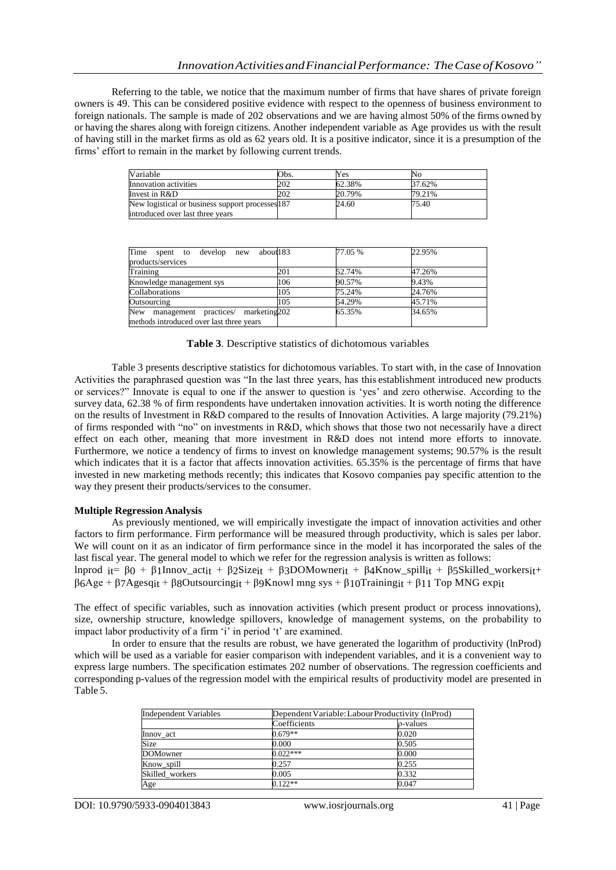Referring to the table, we notice that the maximum number of firms that have shares of private foreign owners is 49. This can be considered positive evidence with respect to the openness of business environment to foreign nationals. The sample is made of 202 observations and we are having almost 50% of the firms owned by or having the shares along with foreign citizens. Another independent variable as Age provides us with the result of having still in the market firms as old as 62 years old. It is a positive indicator, since it is a presumption of the firms' effort to remain in the market by following current trends.

| Variable                                         | Obs. | Yes    | No     |
|--------------------------------------------------|------|--------|--------|
| Innovation activities                            | 202  | 62.38% | 37.62% |
| Invest in R&D                                    | 202  | 20.79% | 79.21% |
| New logistical or business support processes 187 |      | 24.60  | 75.40  |
| introduced over last three years                 |      |        |        |

| Time spent to develop new<br>about 183   |     | 77.05 % | 22.95% |
|------------------------------------------|-----|---------|--------|
| products/services                        |     |         |        |
| Training                                 | 201 | 52.74%  | 47.26% |
| Knowledge management sys                 | 106 | 90.57%  | 9.43%  |
| Collaborations                           | 105 | 75.24%  | 24.76% |
| Outsourcing                              | 105 | 54.29%  | 45.71% |
| New management practices/ marketing 202  |     | 65.35%  | 34.65% |
| methods introduced over last three years |     |         |        |

|  |  |  |  |  |  | Table 3. Descriptive statistics of dichotomous variables |
|--|--|--|--|--|--|----------------------------------------------------------|
|--|--|--|--|--|--|----------------------------------------------------------|

Table 3 presents descriptive statistics for dichotomous variables. To start with, in the case of Innovation Activities the paraphrased question was "In the last three years, has this establishment introduced new products or services?" Innovate is equal to one if the answer to question is "yes" and zero otherwise. According to the survey data, 62.38 % of firm respondents have undertaken innovation activities. It is worth noting the difference on the results of Investment in R&D compared to the results of Innovation Activities. A large majority (79.21%) of firms responded with "no" on investments in R&D, which shows that those two not necessarily have a direct effect on each other, meaning that more investment in R&D does not intend more efforts to innovate. Furthermore, we notice a tendency of firms to invest on knowledge management systems; 90.57% is the result which indicates that it is a factor that affects innovation activities. 65.35% is the percentage of firms that have invested in new marketing methods recently; this indicates that Kosovo companies pay specific attention to the way they present their products/services to the consumer.

#### **Multiple Regression Analysis**

As previously mentioned, we will empirically investigate the impact of innovation activities and other factors to firm performance. Firm performance will be measured through productivity, which is sales per labor. We will count on it as an indicator of firm performance since in the model it has incorporated the sales of the last fiscal year. The general model to which we refer for the regression analysis is written as follows:

lnprod it= β0 + β1Innov\_actit + β2Sizeit + β3DOMownerit + β4Know\_spillit + β5Skilled\_workersit+  $\beta_6$ Age +  $\beta_7$ Agesqit +  $\beta_8$ Outsourcingit +  $\beta_9$ Knowl mng sys +  $\beta_1$ 0Trainingit +  $\beta_1$ 1 Top MNG expit

The effect of specific variables, such as innovation activities (which present product or process innovations), size, ownership structure, knowledge spillovers, knowledge of management systems, on the probability to impact labor productivity of a firm 'i' in period 't' are examined.

In order to ensure that the results are robust, we have generated the logarithm of productivity (lnProd) which will be used as a variable for easier comparison with independent variables, and it is a convenient way to express large numbers. The specification estimates 202 number of observations. The regression coefficients and corresponding p-values of the regression model with the empirical results of productivity model are presented in Table 5.

| Independent Variables | Dependent Variable: Labour Productivity (lnProd) |          |  |  |
|-----------------------|--------------------------------------------------|----------|--|--|
|                       | Coefficients                                     | o-values |  |  |
| Innov act             | $0.679**$                                        | 0.020    |  |  |
| Size                  | 0.000                                            | 0.505    |  |  |
| <b>DOMowner</b>       | $0.022***$                                       | 0.000    |  |  |
| Know spill            | 0.257                                            | 0.255    |  |  |
| Skilled workers       | 0.005                                            | 0.332    |  |  |
| Age                   | $0.122**$                                        | 0.047    |  |  |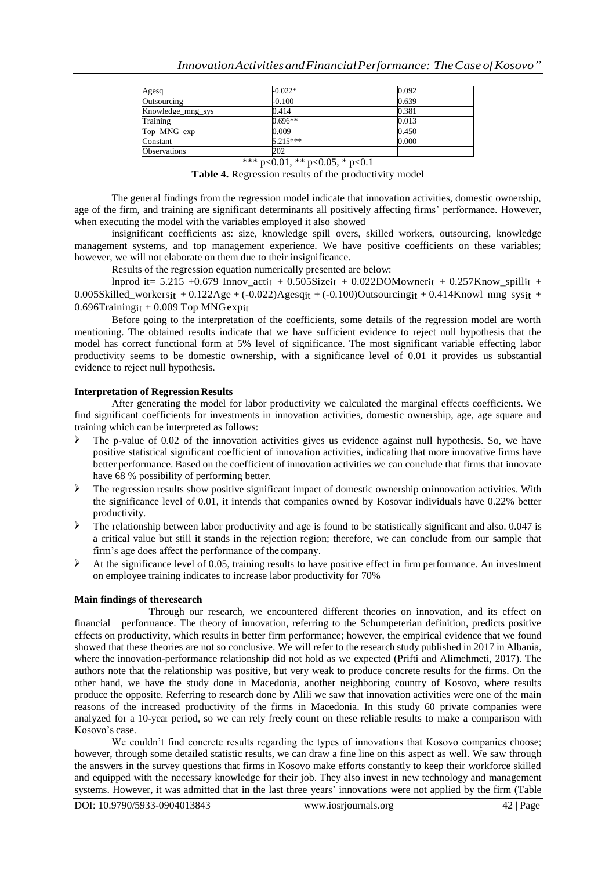| Agesq               | $-0.022*$  | 0.092 |
|---------------------|------------|-------|
| Outsourcing         | $-0.100$   | 0.639 |
| Knowledge_mng_sys   | 0.414      | 0.381 |
| Training            | $0.696**$  | 0.013 |
| Top_MNG_exp         | 0.009      | 0.450 |
| Constant            | $5.215***$ | 0.000 |
| <b>Observations</b> | 202        |       |

\*\*\* p<0.01, \*\* p<0.05, \* p<0.1

Table 4. Regression results of the productivity model

The general findings from the regression model indicate that innovation activities, domestic ownership, age of the firm, and training are significant determinants all positively affecting firms" performance. However, when executing the model with the variables employed it also showed

insignificant coefficients as: size, knowledge spill overs, skilled workers, outsourcing, knowledge management systems, and top management experience. We have positive coefficients on these variables; however, we will not elaborate on them due to their insignificance.

Results of the regression equation numerically presented are below:

lnprod it= 5.215 +0.679 Innov\_actit + 0.505Sizeit + 0.022DOMownerit + 0.257Know\_spillit + 0.005Skilled\_workersit + 0.122Age + (-0.022)Agesqit + (-0.100)Outsourcingit + 0.414Knowl mng sysit +  $0.696$ Trainingit + 0.009 Top MNGexpit

Before going to the interpretation of the coefficients, some details of the regression model are worth mentioning. The obtained results indicate that we have sufficient evidence to reject null hypothesis that the model has correct functional form at 5% level of significance. The most significant variable effecting labor productivity seems to be domestic ownership, with a significance level of 0.01 it provides us substantial evidence to reject null hypothesis.

#### **Interpretation of Regression Results**

After generating the model for labor productivity we calculated the marginal effects coefficients. We find significant coefficients for investments in innovation activities, domestic ownership, age, age square and training which can be interpreted as follows:

- The p-value of 0.02 of the innovation activities gives us evidence against null hypothesis. So, we have positive statistical significant coefficient of innovation activities, indicating that more innovative firms have better performance. Based on the coefficient of innovation activities we can conclude that firms that innovate have 68 % possibility of performing better.
- $\triangleright$  The regression results show positive significant impact of domestic ownership on innovation activities. With the significance level of 0.01, it intends that companies owned by Kosovar individuals have 0.22% better productivity.
- The relationship between labor productivity and age is found to be statistically significant and also. 0.047 is a critical value but still it stands in the rejection region; therefore, we can conclude from our sample that firm"s age does affect the performance of the company.
- At the significance level of 0.05, training results to have positive effect in firm performance. An investment on employee training indicates to increase labor productivity for 70%

#### **Main findings of theresearch**

Through our research, we encountered different theories on innovation, and its effect on financial performance. The theory of innovation, referring to the Schumpeterian definition, predicts positive effects on productivity, which results in better firm performance; however, the empirical evidence that we found showed that these theories are not so conclusive. We will refer to the research study published in 2017 in Albania, where the innovation-performance relationship did not hold as we expected (Prifti and Alimehmeti, 2017). The authors note that the relationship was positive, but very weak to produce concrete results for the firms. On the other hand, we have the study done in Macedonia, another neighboring country of Kosovo, where results produce the opposite. Referring to research done by Alili we saw that innovation activities were one of the main reasons of the increased productivity of the firms in Macedonia. In this study 60 private companies were analyzed for a 10-year period, so we can rely freely count on these reliable results to make a comparison with Kosovo's case.

We couldn't find concrete results regarding the types of innovations that Kosovo companies choose; however, through some detailed statistic results, we can draw a fine line on this aspect as well. We saw through the answers in the survey questions that firms in Kosovo make efforts constantly to keep their workforce skilled and equipped with the necessary knowledge for their job. They also invest in new technology and management systems. However, it was admitted that in the last three years' innovations were not applied by the firm (Table